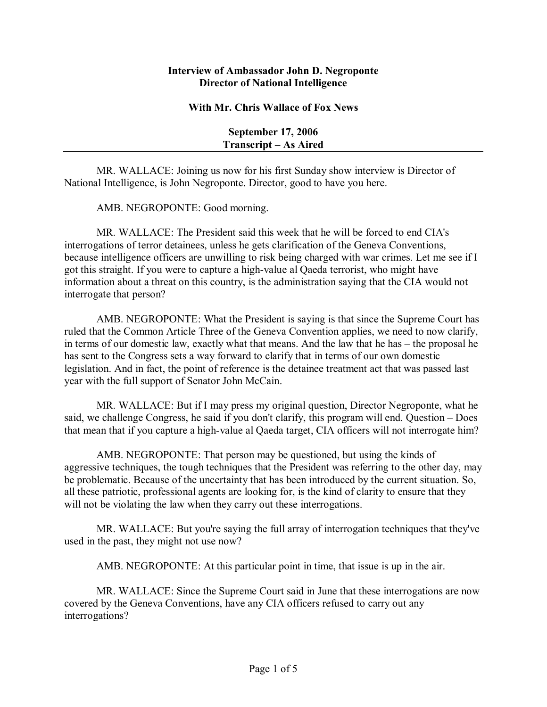## **Interview of Ambassador John D. Negroponte Director of National Intelligence**

## **With Mr. Chris Wallace of Fox News**

| <b>September 17, 2006</b> |
|---------------------------|
| Transcript – As Aired     |
|                           |

MR. WALLACE: Joining us now for his first Sunday show interview is Director of National Intelligence, is John Negroponte. Director, good to have you here.

AMB. NEGROPONTE: Good morning.

MR. WALLACE: The President said this week that he will be forced to end CIA's interrogations of terror detainees, unless he gets clarification of the Geneva Conventions, because intelligence officers are unwilling to risk being charged with war crimes. Let me see if I got this straight. If you were to capture a high-value al Qaeda terrorist, who might have information about a threat on this country, is the administration saying that the CIA would not interrogate that person?

AMB. NEGROPONTE: What the President is saying is that since the Supreme Court has ruled that the Common Article Three of the Geneva Convention applies, we need to now clarify, in terms of our domestic law, exactly what that means. And the law that he has – the proposal he has sent to the Congress sets a way forward to clarify that in terms of our own domestic legislation. And in fact, the point of reference is the detainee treatment act that was passed last year with the full support of Senator John McCain.

MR. WALLACE: But if I may press my original question, Director Negroponte, what he said, we challenge Congress, he said if you don't clarify, this program will end. Question - Does that mean that if you capture a high-value al Qaeda target, CIA officers will not interrogate him?

AMB. NEGROPONTE: That person may be questioned, but using the kinds of aggressive techniques, the tough techniques that the President was referring to the other day, may be problematic. Because of the uncertainty that has been introduced by the current situation. So, all these patriotic, professional agents are looking for, is the kind of clarity to ensure that they will not be violating the law when they carry out these interrogations.

MR. WALLACE: But you're saying the full array of interrogation techniques that they've used in the past, they might not use now?

AMB. NEGROPONTE: At this particular point in time, that issue is up in the air.

MR. WALLACE: Since the Supreme Court said in June that these interrogations are now covered by the Geneva Conventions, have any CIA officers refused to carry out any interrogations?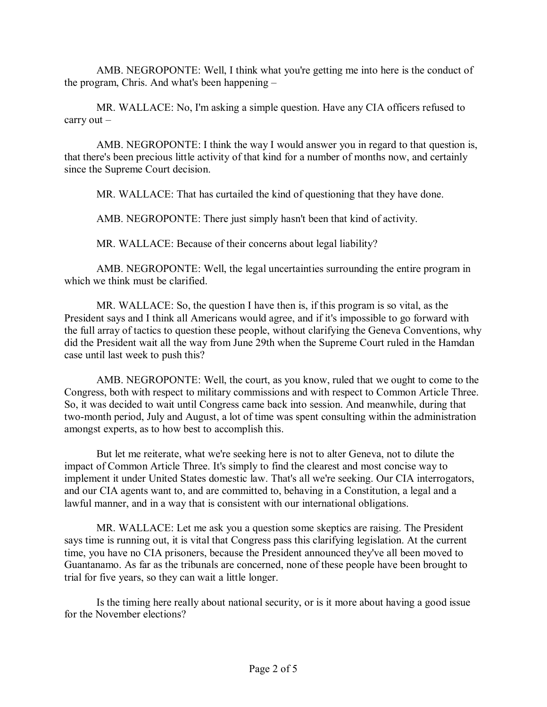AMB. NEGROPONTE: Well, I think what you're getting me into here is the conduct of the program, Chris. And what's been happening -

MR. WALLACE: No, I'm asking a simple question. Have any CIA officers refused to carry out  $-$ 

AMB. NEGROPONTE: I think the way I would answer you in regard to that question is, that there's been precious little activity of that kind for a number of months now, and certainly since the Supreme Court decision.

MR. WALLACE: That has curtailed the kind of questioning that they have done.

AMB. NEGROPONTE: There just simply hasn't been that kind of activity.

MR. WALLACE: Because of their concerns about legal liability?

AMB. NEGROPONTE: Well, the legal uncertainties surrounding the entire program in which we think must be clarified.

MR. WALLACE: So, the question I have then is, if this program is so vital, as the President says and I think all Americans would agree, and if it's impossible to go forward with the full array of tactics to question these people, without clarifying the Geneva Conventions, why did the President wait all the way from June 29th when the Supreme Court ruled in the Hamdan case until last week to push this?

AMB. NEGROPONTE: Well, the court, as you know, ruled that we ought to come to the Congress, both with respect to military commissions and with respect to Common Article Three. So, it was decided to wait until Congress came back into session. And meanwhile, during that two-month period, July and August, a lot of time was spent consulting within the administration amongst experts, as to how best to accomplish this.

But let me reiterate, what we're seeking here is not to alter Geneva, not to dilute the impact of Common Article Three. It's simply to find the clearest and most concise way to implement it under United States domestic law. That's all we're seeking. Our CIA interrogators, and our CIA agents want to, and are committed to, behaving in a Constitution, a legal and a lawful manner, and in a way that is consistent with our international obligations.

MR. WALLACE: Let me ask you a question some skeptics are raising. The President says time is running out, it is vital that Congress pass this clarifying legislation. At the current time, you have no CIA prisoners, because the President announced they've all been moved to Guantanamo. As far as the tribunals are concerned, none of these people have been brought to trial for five years, so they can wait a little longer.

Is the timing here really about national security, or is it more about having a good issue for the November elections?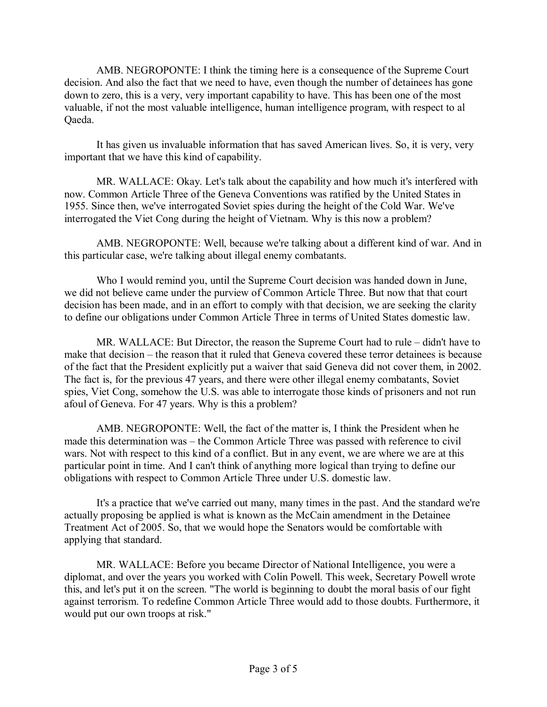AMB. NEGROPONTE: I think the timing here is a consequence of the Supreme Court decision. And also the fact that we need to have, even though the number of detainees has gone down to zero, this is a very, very important capability to have. This has been one of the most valuable, if not the most valuable intelligence, human intelligence program, with respect to al Qaeda.

It has given us invaluable information that has saved American lives. So, it is very, very important that we have this kind of capability.

MR. WALLACE: Okay. Let's talk about the capability and how much it's interfered with now. Common Article Three of the Geneva Conventions was ratified by the United States in 1955. Since then, we've interrogated Soviet spies during the height of the Cold War. We've interrogated the Viet Cong during the height of Vietnam. Why is this now a problem?

AMB. NEGROPONTE: Well, because we're talking about a different kind of war. And in this particular case, we're talking about illegal enemy combatants.

Who I would remind you, until the Supreme Court decision was handed down in June, we did not believe came under the purview of Common Article Three. But now that that court decision has been made, and in an effort to comply with that decision, we are seeking the clarity to define our obligations under Common Article Three in terms of United States domestic law.

MR. WALLACE: But Director, the reason the Supreme Court had to rule  $-$  didn't have to make that decision  $-$  the reason that it ruled that Geneva covered these terror detainees is because of the fact that the President explicitly put a waiver that said Geneva did not cover them, in 2002. The fact is, for the previous 47 years, and there were other illegal enemy combatants, Soviet spies, Viet Cong, somehow the U.S. was able to interrogate those kinds of prisoners and not run afoul of Geneva. For 47 years. Why is this a problem?

AMB. NEGROPONTE: Well, the fact of the matter is, I think the President when he made this determination was – the Common Article Three was passed with reference to civil wars. Not with respect to this kind of a conflict. But in any event, we are where we are at this particular point in time. And I can't think of anything more logical than trying to define our obligations with respect to Common Article Three under U.S. domestic law.

It's a practice that we've carried out many, many times in the past. And the standard we're actually proposing be applied is what is known as the McCain amendment in the Detainee Treatment Act of 2005. So, that we would hope the Senators would be comfortable with applying that standard.

MR. WALLACE: Before you became Director of National Intelligence, you were a diplomat, and over the years you worked with Colin Powell. This week, Secretary Powell wrote this, and let's put it on the screen. "The world is beginning to doubt the moral basis of our fight against terrorism. To redefine Common Article Three would add to those doubts. Furthermore, it would put our own troops at risk."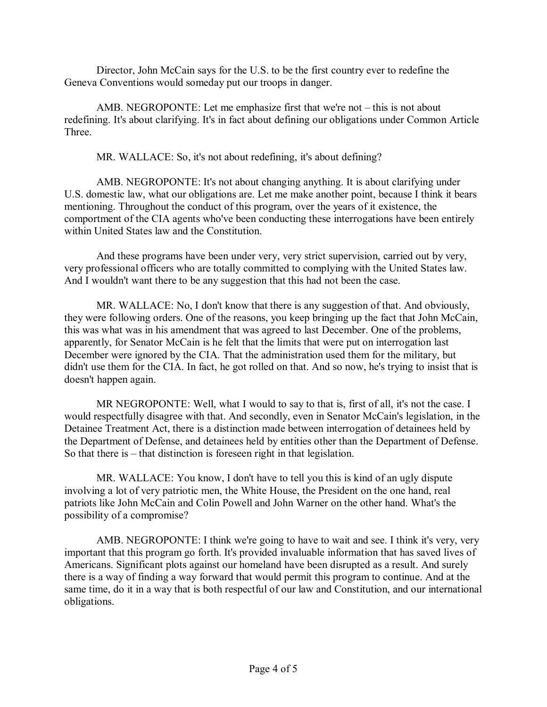Director, John McCain says for the U.S. to be the first country ever to redefine the Geneva Conventions would someday put our troops in danger.

AMB. NEGROPONTE: Let me emphasize first that we're not  $-$  this is not about redefining. It's about clarifying. It's in fact about defining our obligations under Common Article Three.

MR. WALLACE: So, it's not about redefining, it's about defining?

AMB. NEGROPONTE: It's not about changing anything. It is about clarifying under U.S. domestic law, what our obligations are. Let me make another point, because I think it bears mentioning. Throughout the conduct of this program, over the years of it existence, the comportment of the CIA agents who've been conducting these interrogations have been entirely within United States law and the Constitution.

And these programs have been under very, very strict supervision, carried out by very, very professional officers who are totally committed to complying with the United States law. And I wouldn't want there to be any suggestion that this had not been the case.

MR. WALLACE: No, I don't know that there is any suggestion of that. And obviously, they were following orders. One of the reasons, you keep bringing up the fact that John McCain, this was what was in his amendment that was agreed to last December. One of the problems, apparently, for Senator McCain is he felt that the limits that were put on interrogation last December were ignored by the CIA. That the administration used them for the military, but didn't use them for the CIA. In fact, he got rolled on that. And so now, he's trying to insist that is doesn't happen again.

MR NEGROPONTE: Well, what I would to say to that is, first of all, it's not the case. I would respectfully disagree with that. And secondly, even in Senator McCain's legislation, in the Detainee Treatment Act, there is a distinction made between interrogation of detainees held by the Department of Defense, and detainees held by entities other than the Department of Defense. So that there is  $-$  that distinction is foreseen right in that legislation.

MR. WALLACE: You know, I don't have to tell you this is kind of an ugly dispute involving a lot of very patriotic men, the White House, the President on the one hand, real patriots like John McCain and Colin Powell and John Warner on the other hand. What's the possibility of a compromise?

AMB. NEGROPONTE: I think we're going to have to wait and see. I think it's very, very important that this program go forth. It's provided invaluable information that has saved lives of Americans. Significant plots against our homeland have been disrupted as a result. And surely there is a way of finding a way forward that would permit this program to continue. And at the same time, do it in a way that is both respectful of our law and Constitution, and our international obligations.